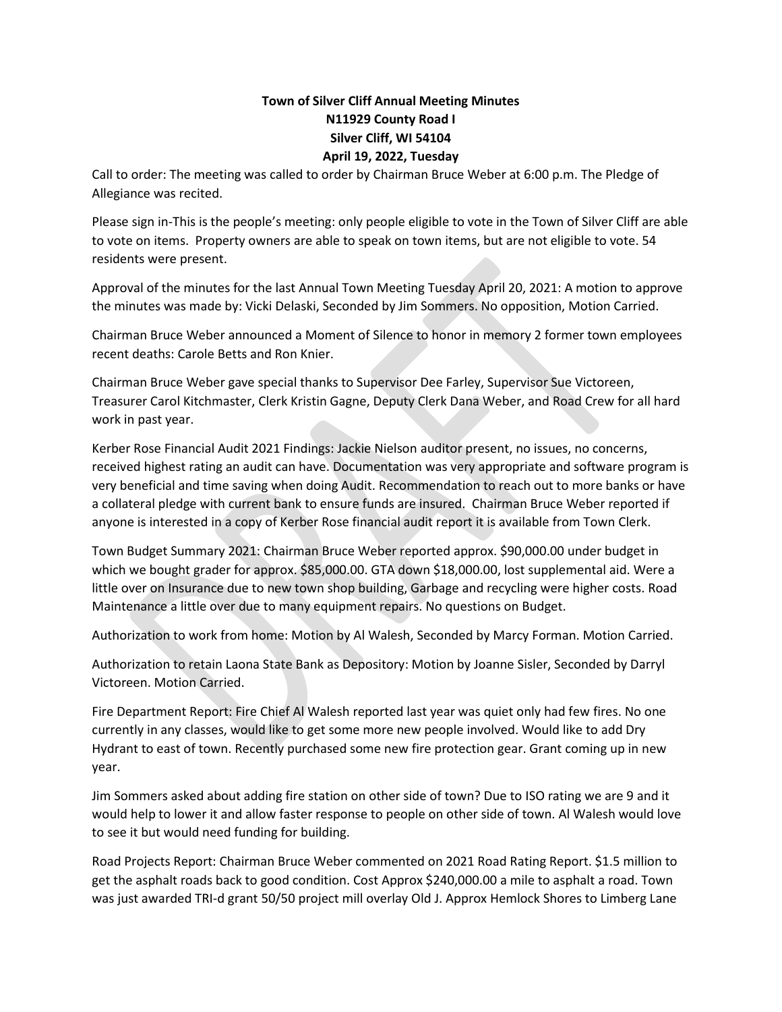## **Town of Silver Cliff Annual Meeting Minutes N11929 County Road I Silver Cliff, WI 54104 April 19, 2022, Tuesday**

Call to order: The meeting was called to order by Chairman Bruce Weber at 6:00 p.m. The Pledge of Allegiance was recited.

Please sign in-This is the people's meeting: only people eligible to vote in the Town of Silver Cliff are able to vote on items. Property owners are able to speak on town items, but are not eligible to vote. 54 residents were present.

Approval of the minutes for the last Annual Town Meeting Tuesday April 20, 2021: A motion to approve the minutes was made by: Vicki Delaski, Seconded by Jim Sommers. No opposition, Motion Carried.

Chairman Bruce Weber announced a Moment of Silence to honor in memory 2 former town employees recent deaths: Carole Betts and Ron Knier.

Chairman Bruce Weber gave special thanks to Supervisor Dee Farley, Supervisor Sue Victoreen, Treasurer Carol Kitchmaster, Clerk Kristin Gagne, Deputy Clerk Dana Weber, and Road Crew for all hard work in past year.

Kerber Rose Financial Audit 2021 Findings: Jackie Nielson auditor present, no issues, no concerns, received highest rating an audit can have. Documentation was very appropriate and software program is very beneficial and time saving when doing Audit. Recommendation to reach out to more banks or have a collateral pledge with current bank to ensure funds are insured. Chairman Bruce Weber reported if anyone is interested in a copy of Kerber Rose financial audit report it is available from Town Clerk.

Town Budget Summary 2021: Chairman Bruce Weber reported approx. \$90,000.00 under budget in which we bought grader for approx. \$85,000.00. GTA down \$18,000.00, lost supplemental aid. Were a little over on Insurance due to new town shop building, Garbage and recycling were higher costs. Road Maintenance a little over due to many equipment repairs. No questions on Budget.

Authorization to work from home: Motion by Al Walesh, Seconded by Marcy Forman. Motion Carried.

Authorization to retain Laona State Bank as Depository: Motion by Joanne Sisler, Seconded by Darryl Victoreen. Motion Carried.

Fire Department Report: Fire Chief Al Walesh reported last year was quiet only had few fires. No one currently in any classes, would like to get some more new people involved. Would like to add Dry Hydrant to east of town. Recently purchased some new fire protection gear. Grant coming up in new year.

Jim Sommers asked about adding fire station on other side of town? Due to ISO rating we are 9 and it would help to lower it and allow faster response to people on other side of town. Al Walesh would love to see it but would need funding for building.

Road Projects Report: Chairman Bruce Weber commented on 2021 Road Rating Report. \$1.5 million to get the asphalt roads back to good condition. Cost Approx \$240,000.00 a mile to asphalt a road. Town was just awarded TRI-d grant 50/50 project mill overlay Old J. Approx Hemlock Shores to Limberg Lane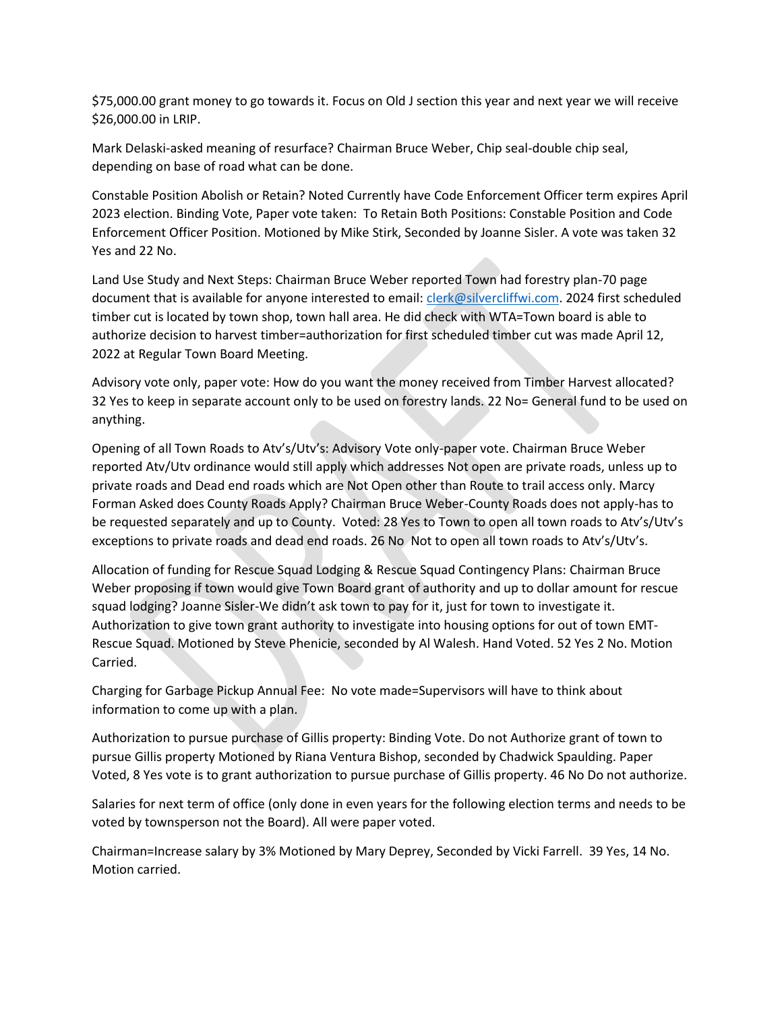\$75,000.00 grant money to go towards it. Focus on Old J section this year and next year we will receive \$26,000.00 in LRIP.

Mark Delaski-asked meaning of resurface? Chairman Bruce Weber, Chip seal-double chip seal, depending on base of road what can be done.

Constable Position Abolish or Retain? Noted Currently have Code Enforcement Officer term expires April 2023 election. Binding Vote, Paper vote taken: To Retain Both Positions: Constable Position and Code Enforcement Officer Position. Motioned by Mike Stirk, Seconded by Joanne Sisler. A vote was taken 32 Yes and 22 No.

Land Use Study and Next Steps: Chairman Bruce Weber reported Town had forestry plan-70 page document that is available for anyone interested to email: [clerk@silvercliffwi.com.](mailto:clerk@silvercliffwi.com) 2024 first scheduled timber cut is located by town shop, town hall area. He did check with WTA=Town board is able to authorize decision to harvest timber=authorization for first scheduled timber cut was made April 12, 2022 at Regular Town Board Meeting.

Advisory vote only, paper vote: How do you want the money received from Timber Harvest allocated? 32 Yes to keep in separate account only to be used on forestry lands. 22 No= General fund to be used on anything.

Opening of all Town Roads to Atv's/Utv's: Advisory Vote only-paper vote. Chairman Bruce Weber reported Atv/Utv ordinance would still apply which addresses Not open are private roads, unless up to private roads and Dead end roads which are Not Open other than Route to trail access only. Marcy Forman Asked does County Roads Apply? Chairman Bruce Weber-County Roads does not apply-has to be requested separately and up to County. Voted: 28 Yes to Town to open all town roads to Atv's/Utv's exceptions to private roads and dead end roads. 26 No Not to open all town roads to Atv's/Utv's.

Allocation of funding for Rescue Squad Lodging & Rescue Squad Contingency Plans: Chairman Bruce Weber proposing if town would give Town Board grant of authority and up to dollar amount for rescue squad lodging? Joanne Sisler-We didn't ask town to pay for it, just for town to investigate it. Authorization to give town grant authority to investigate into housing options for out of town EMT-Rescue Squad. Motioned by Steve Phenicie, seconded by Al Walesh. Hand Voted. 52 Yes 2 No. Motion Carried.

Charging for Garbage Pickup Annual Fee: No vote made=Supervisors will have to think about information to come up with a plan.

Authorization to pursue purchase of Gillis property: Binding Vote. Do not Authorize grant of town to pursue Gillis property Motioned by Riana Ventura Bishop, seconded by Chadwick Spaulding. Paper Voted, 8 Yes vote is to grant authorization to pursue purchase of Gillis property. 46 No Do not authorize.

Salaries for next term of office (only done in even years for the following election terms and needs to be voted by townsperson not the Board). All were paper voted.

Chairman=Increase salary by 3% Motioned by Mary Deprey, Seconded by Vicki Farrell. 39 Yes, 14 No. Motion carried.